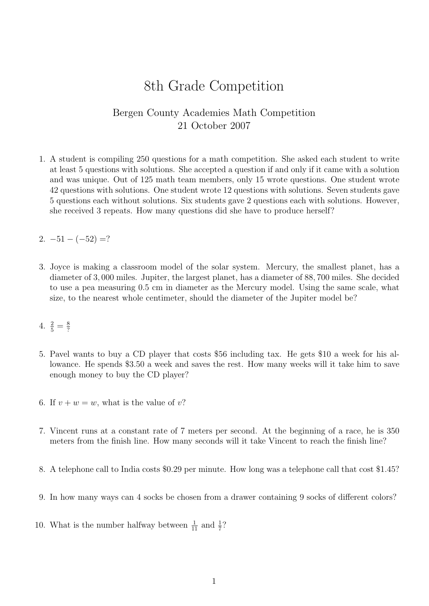## 8th Grade Competition

## Bergen County Academies Math Competition 21 October 2007

1. A student is compiling 250 questions for a math competition. She asked each student to write at least 5 questions with solutions. She accepted a question if and only if it came with a solution and was unique. Out of 125 math team members, only 15 wrote questions. One student wrote 42 questions with solutions. One student wrote 12 questions with solutions. Seven students gave 5 questions each without solutions. Six students gave 2 questions each with solutions. However, she received 3 repeats. How many questions did she have to produce herself?

2.  $-51 - (-52) = ?$ 

- 3. Joyce is making a classroom model of the solar system. Mercury, the smallest planet, has a diameter of 3, 000 miles. Jupiter, the largest planet, has a diameter of 88, 700 miles. She decided to use a pea measuring 0.5 cm in diameter as the Mercury model. Using the same scale, what size, to the nearest whole centimeter, should the diameter of the Jupiter model be?
- 4.  $\frac{2}{5} = \frac{8}{?}$ ?
- 5. Pavel wants to buy a CD player that costs \$56 including tax. He gets \$10 a week for his allowance. He spends \$3.50 a week and saves the rest. How many weeks will it take him to save enough money to buy the CD player?
- 6. If  $v + w = w$ , what is the value of v?
- 7. Vincent runs at a constant rate of 7 meters per second. At the beginning of a race, he is 350 meters from the finish line. How many seconds will it take Vincent to reach the finish line?
- 8. A telephone call to India costs \$0.29 per minute. How long was a telephone call that cost \$1.45?
- 9. In how many ways can 4 socks be chosen from a drawer containing 9 socks of different colors?
- 10. What is the number halfway between  $\frac{1}{11}$  and  $\frac{1}{7}$ ?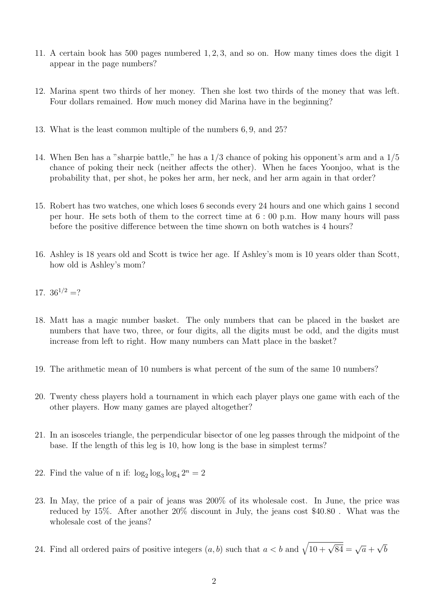- 11. A certain book has 500 pages numbered 1, 2, 3, and so on. How many times does the digit 1 appear in the page numbers?
- 12. Marina spent two thirds of her money. Then she lost two thirds of the money that was left. Four dollars remained. How much money did Marina have in the beginning?
- 13. What is the least common multiple of the numbers 6, 9, and 25?
- 14. When Ben has a "sharpie battle," he has a 1/3 chance of poking his opponent's arm and a 1/5 chance of poking their neck (neither affects the other). When he faces Yoonjoo, what is the probability that, per shot, he pokes her arm, her neck, and her arm again in that order?
- 15. Robert has two watches, one which loses 6 seconds every 24 hours and one which gains 1 second per hour. He sets both of them to the correct time at 6 : 00 p.m. How many hours will pass before the positive difference between the time shown on both watches is 4 hours?
- 16. Ashley is 18 years old and Scott is twice her age. If Ashley's mom is 10 years older than Scott, how old is Ashley's mom?
- 17.  $36^{1/2}$  =?
- 18. Matt has a magic number basket. The only numbers that can be placed in the basket are numbers that have two, three, or four digits, all the digits must be odd, and the digits must increase from left to right. How many numbers can Matt place in the basket?
- 19. The arithmetic mean of 10 numbers is what percent of the sum of the same 10 numbers?
- 20. Twenty chess players hold a tournament in which each player plays one game with each of the other players. How many games are played altogether?
- 21. In an isosceles triangle, the perpendicular bisector of one leg passes through the midpoint of the base. If the length of this leg is 10, how long is the base in simplest terms?
- 22. Find the value of n if:  $\log_2 \log_3 \log_4 2^n = 2$
- 23. In May, the price of a pair of jeans was 200% of its wholesale cost. In June, the price was reduced by 15%. After another 20% discount in July, the jeans cost \$40.80 . What was the wholesale cost of the jeans?
- 24. Find all ordered pairs of positive integers  $(a, b)$  such that  $a < b$  and  $\sqrt{10 + \sqrt{84}} = \sqrt{a} + \sqrt{20}$ √ b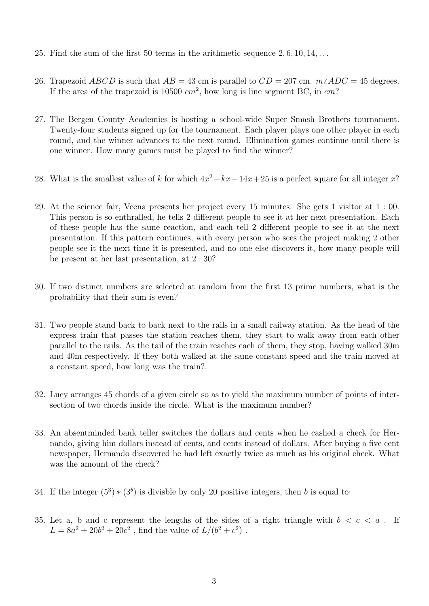- 25. Find the sum of the first 50 terms in the arithmetic sequence  $2, 6, 10, 14, \ldots$
- 26. Trapezoid ABCD is such that  $AB = 43$  cm is parallel to  $CD = 207$  cm.  $m\angle ADC = 45$  degrees. If the area of the trapezoid is 10500  $cm^2$ , how long is line segment BC, in  $cm$ ?
- 27. The Bergen County Academies is hosting a school-wide Super Smash Brothers tournament. Twenty-four students signed up for the tournament. Each player plays one other player in each round, and the winner advances to the next round. Elimination games continue until there is one winner. How many games must be played to find the winner?
- 28. What is the smallest value of k for which  $4x^2 + kx 14x + 25$  is a perfect square for all integer x?
- 29. At the science fair, Veena presents her project every 15 minutes. She gets 1 visitor at 1 : 00. This person is so enthralled, he tells 2 different people to see it at her next presentation. Each of these people has the same reaction, and each tell 2 different people to see it at the next presentation. If this pattern continues, with every person who sees the project making 2 other people see it the next time it is presented, and no one else discovers it, how many people will be present at her last presentation, at 2 : 30?
- 30. If two distinct numbers are selected at random from the first 13 prime numbers, what is the probability that their sum is even?
- 31. Two people stand back to back next to the rails in a small railway station. As the head of the express train that passes the station reaches them, they start to walk away from each other parallel to the rails. As the tail of the train reaches each of them, they stop, having walked 30m and 40m respectively. If they both walked at the same constant speed and the train moved at a constant speed, how long was the train?.
- 32. Lucy arranges 45 chords of a given circle so as to yield the maximum number of points of intersection of two chords inside the circle. What is the maximum number?
- 33. An absentminded bank teller switches the dollars and cents when he cashed a check for Hernando, giving him dollars instead of cents, and cents instead of dollars. After buying a five cent newspaper, Hernando discovered he had left exactly twice as much as his original check. What was the amount of the check?
- 34. If the integer  $(5^3) * (3^b)$  is divisble by only 20 positive integers, then b is equal to:
- 35. Let a, b and c represent the lengths of the sides of a right triangle with  $b < c < a$ . If  $L = 8a^2 + 20b^2 + 20c^2$ , find the value of  $L/(b^2 + c^2)$ .